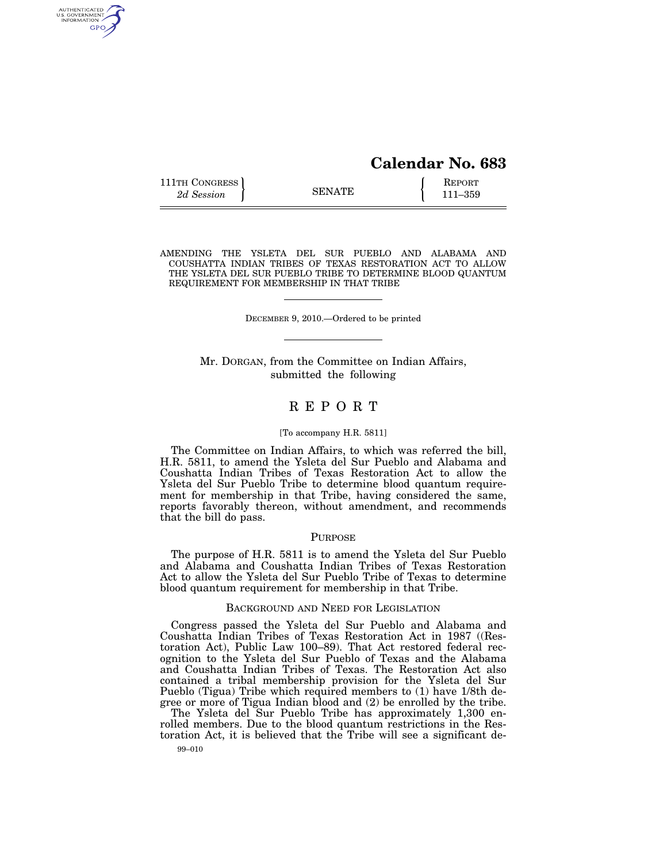# **Calendar No. 683**

| 111TH CONGRESS | <b>SENATE</b> | <b>REPORT</b> |
|----------------|---------------|---------------|
| 2d Session     |               | 111–359       |

AUTHENTICATED<br>U.S. GOVERNMENT<br>INFORMATION GPO

AMENDING THE YSLETA DEL SUR PUEBLO AND ALABAMA AND COUSHATTA INDIAN TRIBES OF TEXAS RESTORATION ACT TO ALLOW THE YSLETA DEL SUR PUEBLO TRIBE TO DETERMINE BLOOD QUANTUM REQUIREMENT FOR MEMBERSHIP IN THAT TRIBE

DECEMBER 9, 2010.—Ordered to be printed

Mr. DORGAN, from the Committee on Indian Affairs, submitted the following

## R E P O R T

#### [To accompany H.R. 5811]

The Committee on Indian Affairs, to which was referred the bill, H.R. 5811, to amend the Ysleta del Sur Pueblo and Alabama and Coushatta Indian Tribes of Texas Restoration Act to allow the Ysleta del Sur Pueblo Tribe to determine blood quantum requirement for membership in that Tribe, having considered the same, reports favorably thereon, without amendment, and recommends that the bill do pass.

## PURPOSE

The purpose of H.R. 5811 is to amend the Ysleta del Sur Pueblo and Alabama and Coushatta Indian Tribes of Texas Restoration Act to allow the Ysleta del Sur Pueblo Tribe of Texas to determine blood quantum requirement for membership in that Tribe.

#### BACKGROUND AND NEED FOR LEGISLATION

Congress passed the Ysleta del Sur Pueblo and Alabama and Coushatta Indian Tribes of Texas Restoration Act in 1987 ((Restoration Act), Public Law 100–89). That Act restored federal recognition to the Ysleta del Sur Pueblo of Texas and the Alabama and Coushatta Indian Tribes of Texas. The Restoration Act also contained a tribal membership provision for the Ysleta del Sur Pueblo (Tigua) Tribe which required members to (1) have 1/8th degree or more of Tigua Indian blood and (2) be enrolled by the tribe.

99–010 The Ysleta del Sur Pueblo Tribe has approximately 1,300 enrolled members. Due to the blood quantum restrictions in the Restoration Act, it is believed that the Tribe will see a significant de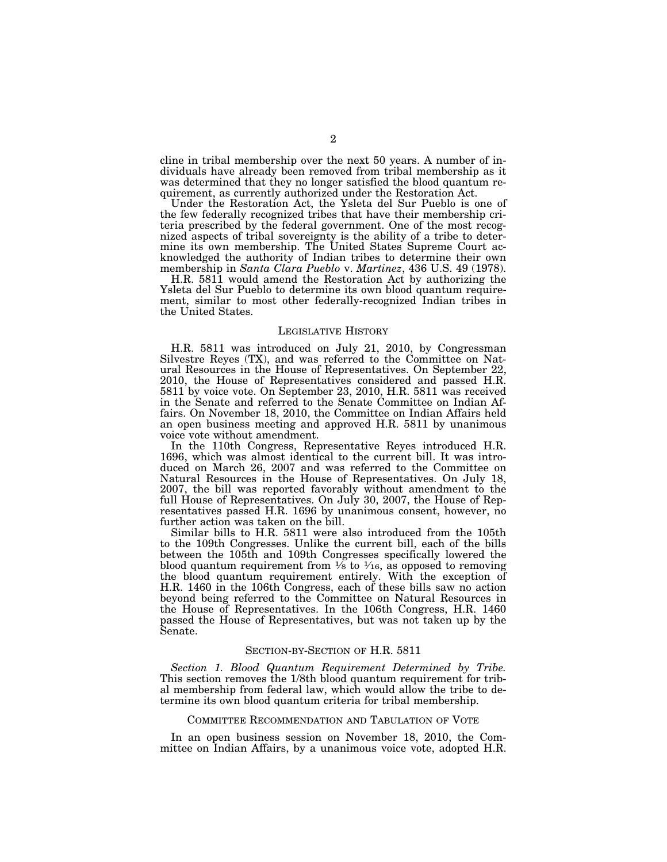cline in tribal membership over the next 50 years. A number of individuals have already been removed from tribal membership as it was determined that they no longer satisfied the blood quantum requirement, as currently authorized under the Restoration Act.

Under the Restoration Act, the Ysleta del Sur Pueblo is one of the few federally recognized tribes that have their membership criteria prescribed by the federal government. One of the most recognized aspects of tribal sovereignty is the ability of a tribe to determine its own membership. The United States Supreme Court acknowledged the authority of Indian tribes to determine their own membership in *Santa Clara Pueblo* v. *Martinez*, 436 U.S. 49 (1978).

H.R. 5811 would amend the Restoration Act by authorizing the Ysleta del Sur Pueblo to determine its own blood quantum requirement, similar to most other federally-recognized Indian tribes in the United States.

#### LEGISLATIVE HISTORY

H.R. 5811 was introduced on July 21, 2010, by Congressman Silvestre Reyes (TX), and was referred to the Committee on Natural Resources in the House of Representatives. On September 22, 2010, the House of Representatives considered and passed H.R. 5811 by voice vote. On September 23, 2010, H.R. 5811 was received in the Senate and referred to the Senate Committee on Indian Affairs. On November 18, 2010, the Committee on Indian Affairs held an open business meeting and approved H.R. 5811 by unanimous voice vote without amendment.

In the 110th Congress, Representative Reyes introduced H.R. 1696, which was almost identical to the current bill. It was introduced on March 26, 2007 and was referred to the Committee on Natural Resources in the House of Representatives. On July 18, 2007, the bill was reported favorably without amendment to the full House of Representatives. On July 30, 2007, the House of Representatives passed H.R. 1696 by unanimous consent, however, no further action was taken on the bill.

Similar bills to H.R. 5811 were also introduced from the 105th to the 109th Congresses. Unlike the current bill, each of the bills between the 105th and 109th Congresses specifically lowered the blood quantum requirement from  $\frac{1}{8}$  to  $\frac{1}{16}$ , as opposed to removing the blood quantum requirement entirely. With the exception of H.R. 1460 in the 106th Congress, each of these bills saw no action beyond being referred to the Committee on Natural Resources in the House of Representatives. In the 106th Congress, H.R. 1460 passed the House of Representatives, but was not taken up by the Senate.

## SECTION-BY-SECTION OF H.R. 5811

*Section 1. Blood Quantum Requirement Determined by Tribe.*  This section removes the 1/8th blood quantum requirement for tribal membership from federal law, which would allow the tribe to determine its own blood quantum criteria for tribal membership.

#### COMMITTEE RECOMMENDATION AND TABULATION OF VOTE

In an open business session on November 18, 2010, the Committee on Indian Affairs, by a unanimous voice vote, adopted H.R.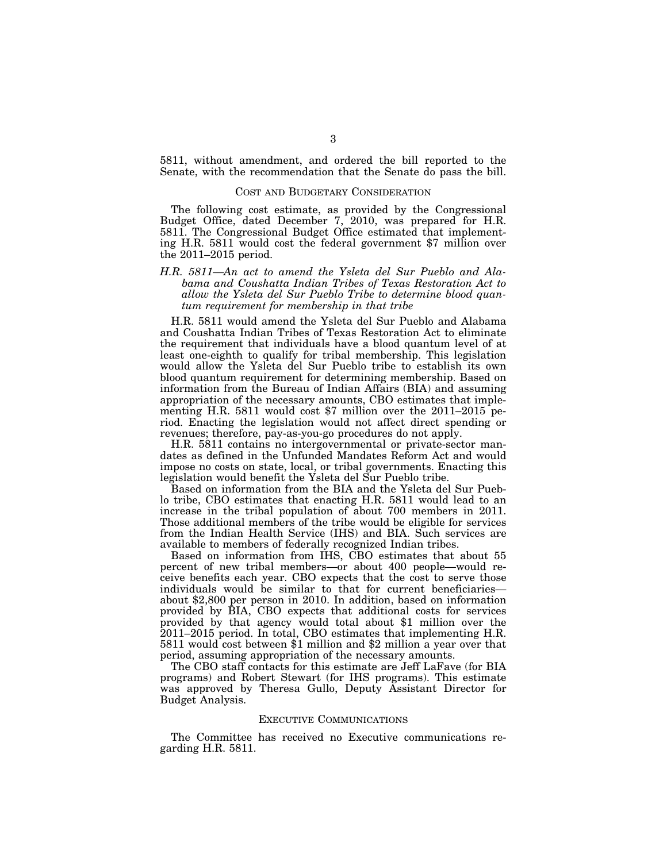5811, without amendment, and ordered the bill reported to the Senate, with the recommendation that the Senate do pass the bill.

## COST AND BUDGETARY CONSIDERATION

The following cost estimate, as provided by the Congressional Budget Office, dated December 7, 2010, was prepared for H.R. 5811. The Congressional Budget Office estimated that implementing H.R. 5811 would cost the federal government \$7 million over the 2011–2015 period.

## *H.R. 5811—An act to amend the Ysleta del Sur Pueblo and Alabama and Coushatta Indian Tribes of Texas Restoration Act to allow the Ysleta del Sur Pueblo Tribe to determine blood quantum requirement for membership in that tribe*

H.R. 5811 would amend the Ysleta del Sur Pueblo and Alabama and Coushatta Indian Tribes of Texas Restoration Act to eliminate the requirement that individuals have a blood quantum level of at least one-eighth to qualify for tribal membership. This legislation would allow the Ysleta del Sur Pueblo tribe to establish its own blood quantum requirement for determining membership. Based on information from the Bureau of Indian Affairs (BIA) and assuming appropriation of the necessary amounts, CBO estimates that implementing H.R. 5811 would cost \$7 million over the 2011–2015 period. Enacting the legislation would not affect direct spending or revenues; therefore, pay-as-you-go procedures do not apply.

H.R. 5811 contains no intergovernmental or private-sector mandates as defined in the Unfunded Mandates Reform Act and would impose no costs on state, local, or tribal governments. Enacting this legislation would benefit the Ysleta del Sur Pueblo tribe.

Based on information from the BIA and the Ysleta del Sur Pueblo tribe, CBO estimates that enacting H.R. 5811 would lead to an increase in the tribal population of about 700 members in 2011. Those additional members of the tribe would be eligible for services from the Indian Health Service (IHS) and BIA. Such services are available to members of federally recognized Indian tribes.

Based on information from IHS, CBO estimates that about 55 percent of new tribal members—or about 400 people—would receive benefits each year. CBO expects that the cost to serve those individuals would be similar to that for current beneficiaries about \$2,800 per person in 2010. In addition, based on information provided by BIA, CBO expects that additional costs for services provided by that agency would total about \$1 million over the 2011–2015 period. In total, CBO estimates that implementing H.R. 5811 would cost between \$1 million and \$2 million a year over that period, assuming appropriation of the necessary amounts.

The CBO staff contacts for this estimate are Jeff LaFave (for BIA programs) and Robert Stewart (for IHS programs). This estimate was approved by Theresa Gullo, Deputy Assistant Director for Budget Analysis.

#### EXECUTIVE COMMUNICATIONS

The Committee has received no Executive communications regarding H.R. 5811.